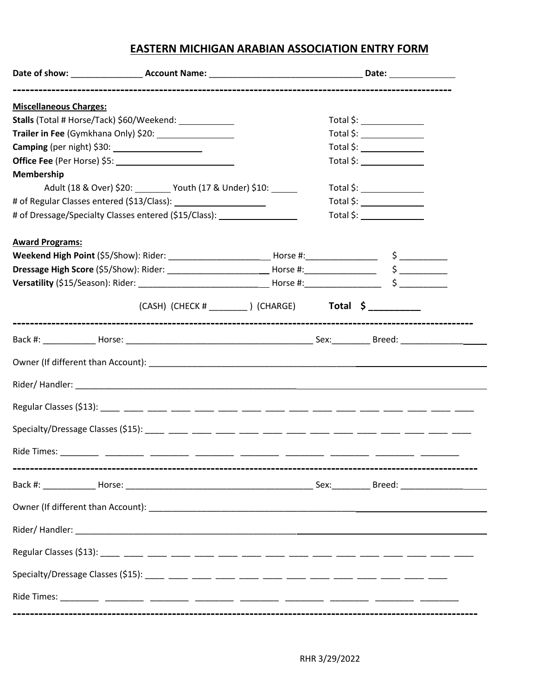| <b>EASTERN MICHIGAN ARABIAN ASSOCIATION ENTRY FORM</b> |
|--------------------------------------------------------|
|--------------------------------------------------------|

| <b>Miscellaneous Charges:</b>                                                                                                                                                                                                   |                                                  |  |                                                                                                                                                                                                                                                                                                                                                                     |  |
|---------------------------------------------------------------------------------------------------------------------------------------------------------------------------------------------------------------------------------|--------------------------------------------------|--|---------------------------------------------------------------------------------------------------------------------------------------------------------------------------------------------------------------------------------------------------------------------------------------------------------------------------------------------------------------------|--|
| Stalls (Total # Horse/Tack) \$60/Weekend: ____________                                                                                                                                                                          |                                                  |  | $Total $: \_\_\_\_\_\_\_\_\_\_\_\_\_\_\_\_\_\_\_\_\_\_\_\_\_\_$                                                                                                                                                                                                                                                                                                     |  |
|                                                                                                                                                                                                                                 |                                                  |  | $\begin{picture}(25,10) \put(0,0){\vector(1,0){100}} \put(15,0){\vector(1,0){100}} \put(15,0){\vector(1,0){100}} \put(15,0){\vector(1,0){100}} \put(15,0){\vector(1,0){100}} \put(15,0){\vector(1,0){100}} \put(15,0){\vector(1,0){100}} \put(15,0){\vector(1,0){100}} \put(15,0){\vector(1,0){100}} \put(15,0){\vector(1,0){100}} \put(15,0){\vector(1,0){100}} \$ |  |
| Camping (per night) \$30: \\connect \\sqrtD{\sqrtD{\sqrtD{\sqrtD{\sqrtD{\sqrtD{\sqrtD{\sqrtD{\sqrtD{\sqrtD{\sqrtD{\sqrtD{\sqrtD{\sqrtD{\sqrtD{\sqrtD{\sqrtD{\sqrtD{\sqrtD{\sqrtD{\sqrtD{\sqrtD{\sqrtD{\sqrtD{\sqrtD{\sqrtD{\sqr |                                                  |  | Total \$: ______________                                                                                                                                                                                                                                                                                                                                            |  |
|                                                                                                                                                                                                                                 |                                                  |  | $Total $: ____________$                                                                                                                                                                                                                                                                                                                                             |  |
| Membership                                                                                                                                                                                                                      |                                                  |  |                                                                                                                                                                                                                                                                                                                                                                     |  |
|                                                                                                                                                                                                                                 | Adult (18 & Over) \$20: Youth (17 & Under) \$10: |  | $Total $: \_\_\_\_\_\_\_\_\_\_\_\_\_\_\_\_\_\_\_\_\_\_\_\_\_\_\_\_\_$                                                                                                                                                                                                                                                                                               |  |
|                                                                                                                                                                                                                                 |                                                  |  | Total \$: _______________                                                                                                                                                                                                                                                                                                                                           |  |
| # of Dressage/Specialty Classes entered (\$15/Class): ___________________________                                                                                                                                               |                                                  |  | $\begin{picture}(25,10) \put(0,0){\vector(1,0){100}} \put(15,0){\vector(1,0){100}} \put(15,0){\vector(1,0){100}} \put(15,0){\vector(1,0){100}} \put(15,0){\vector(1,0){100}} \put(15,0){\vector(1,0){100}} \put(15,0){\vector(1,0){100}} \put(15,0){\vector(1,0){100}} \put(15,0){\vector(1,0){100}} \put(15,0){\vector(1,0){100}} \put(15,0){\vector(1,0){100}} \$ |  |
| <b>Award Programs:</b>                                                                                                                                                                                                          |                                                  |  |                                                                                                                                                                                                                                                                                                                                                                     |  |
|                                                                                                                                                                                                                                 |                                                  |  |                                                                                                                                                                                                                                                                                                                                                                     |  |
|                                                                                                                                                                                                                                 |                                                  |  |                                                                                                                                                                                                                                                                                                                                                                     |  |
|                                                                                                                                                                                                                                 |                                                  |  |                                                                                                                                                                                                                                                                                                                                                                     |  |
|                                                                                                                                                                                                                                 |                                                  |  |                                                                                                                                                                                                                                                                                                                                                                     |  |
|                                                                                                                                                                                                                                 |                                                  |  |                                                                                                                                                                                                                                                                                                                                                                     |  |
|                                                                                                                                                                                                                                 |                                                  |  |                                                                                                                                                                                                                                                                                                                                                                     |  |
|                                                                                                                                                                                                                                 |                                                  |  |                                                                                                                                                                                                                                                                                                                                                                     |  |
|                                                                                                                                                                                                                                 |                                                  |  |                                                                                                                                                                                                                                                                                                                                                                     |  |
|                                                                                                                                                                                                                                 |                                                  |  |                                                                                                                                                                                                                                                                                                                                                                     |  |
|                                                                                                                                                                                                                                 |                                                  |  |                                                                                                                                                                                                                                                                                                                                                                     |  |
|                                                                                                                                                                                                                                 |                                                  |  |                                                                                                                                                                                                                                                                                                                                                                     |  |
|                                                                                                                                                                                                                                 |                                                  |  |                                                                                                                                                                                                                                                                                                                                                                     |  |
|                                                                                                                                                                                                                                 |                                                  |  |                                                                                                                                                                                                                                                                                                                                                                     |  |
|                                                                                                                                                                                                                                 |                                                  |  |                                                                                                                                                                                                                                                                                                                                                                     |  |
|                                                                                                                                                                                                                                 |                                                  |  |                                                                                                                                                                                                                                                                                                                                                                     |  |
|                                                                                                                                                                                                                                 |                                                  |  |                                                                                                                                                                                                                                                                                                                                                                     |  |
|                                                                                                                                                                                                                                 |                                                  |  |                                                                                                                                                                                                                                                                                                                                                                     |  |